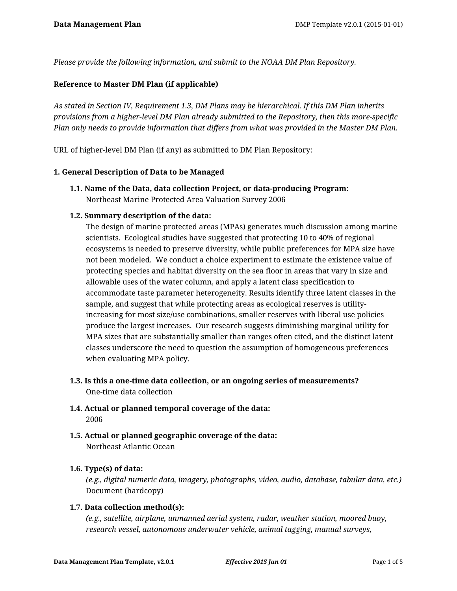*Please provide the following information, and submit to the NOAA DM Plan Repository.*

## **Reference to Master DM Plan (if applicable)**

*As stated in Section IV, Requirement 1.3, DM Plans may be hierarchical. If this DM Plan inherits provisions from a higher-level DM Plan already submitted to the Repository, then this more-specific Plan only needs to provide information that differs from what was provided in the Master DM Plan.*

URL of higher-level DM Plan (if any) as submitted to DM Plan Repository:

### **1. General Description of Data to be Managed**

**1.1. Name of the Data, data collection Project, or data-producing Program:** Northeast Marine Protected Area Valuation Survey 2006

### **1.2. Summary description of the data:**

The design of marine protected areas (MPAs) generates much discussion among marine scientists. Ecological studies have suggested that protecting 10 to 40% of regional ecosystems is needed to preserve diversity, while public preferences for MPA size have not been modeled. We conduct a choice experiment to estimate the existence value of protecting species and habitat diversity on the sea floor in areas that vary in size and allowable uses of the water column, and apply a latent class specification to accommodate taste parameter heterogeneity. Results identify three latent classes in the sample, and suggest that while protecting areas as ecological reserves is utilityincreasing for most size/use combinations, smaller reserves with liberal use policies produce the largest increases. Our research suggests diminishing marginal utility for MPA sizes that are substantially smaller than ranges often cited, and the distinct latent classes underscore the need to question the assumption of homogeneous preferences when evaluating MPA policy.

- **1.3. Is this a one-time data collection, or an ongoing series of measurements?** One-time data collection
- **1.4. Actual or planned temporal coverage of the data:** 2006
- **1.5. Actual or planned geographic coverage of the data:** Northeast Atlantic Ocean

### **1.6. Type(s) of data:**

*(e.g., digital numeric data, imagery, photographs, video, audio, database, tabular data, etc.)* Document (hardcopy)

### **1.7. Data collection method(s):**

*(e.g., satellite, airplane, unmanned aerial system, radar, weather station, moored buoy, research vessel, autonomous underwater vehicle, animal tagging, manual surveys,*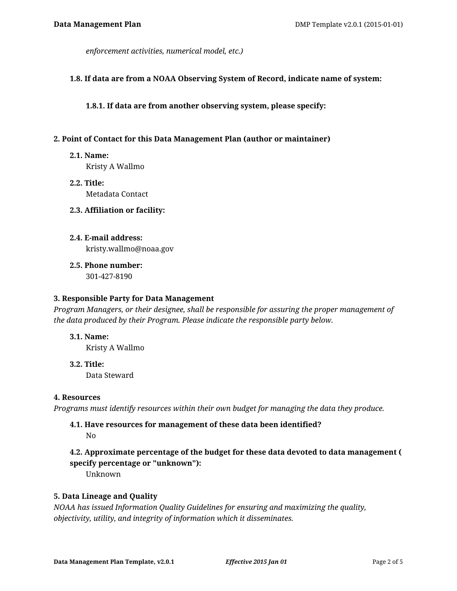*enforcement activities, numerical model, etc.)*

### **1.8. If data are from a NOAA Observing System of Record, indicate name of system:**

**1.8.1. If data are from another observing system, please specify:**

### **2. Point of Contact for this Data Management Plan (author or maintainer)**

**2.1. Name:**

Kristy A Wallmo

**2.2. Title:** Metadata Contact

### **2.3. Affiliation or facility:**

- **2.4. E-mail address:** kristy.wallmo@noaa.gov
- **2.5. Phone number:**

301-427-8190

### **3. Responsible Party for Data Management**

*Program Managers, or their designee, shall be responsible for assuring the proper management of the data produced by their Program. Please indicate the responsible party below.*

### **3.1. Name:**

Kristy A Wallmo

**3.2. Title:** Data Steward

### **4. Resources**

*Programs must identify resources within their own budget for managing the data they produce.*

### **4.1. Have resources for management of these data been identified?** No

# **4.2. Approximate percentage of the budget for these data devoted to data management ( specify percentage or "unknown"):**

Unknown

### **5. Data Lineage and Quality**

*NOAA has issued Information Quality Guidelines for ensuring and maximizing the quality, objectivity, utility, and integrity of information which it disseminates.*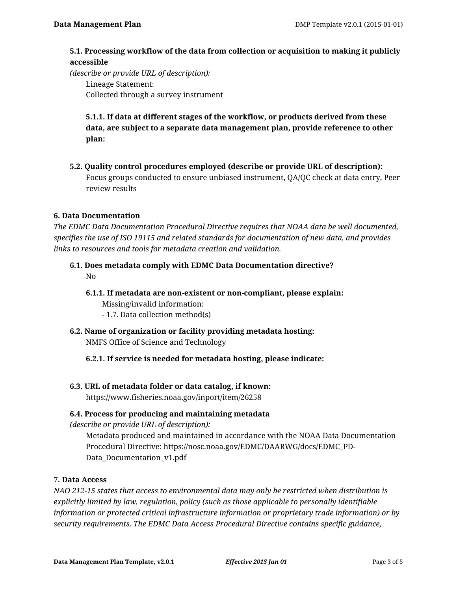## **5.1. Processing workflow of the data from collection or acquisition to making it publicly accessible**

*(describe or provide URL of description):*

Lineage Statement: Collected through a survey instrument

**5.1.1. If data at different stages of the workflow, or products derived from these data, are subject to a separate data management plan, provide reference to other plan:**

**5.2. Quality control procedures employed (describe or provide URL of description):** Focus groups conducted to ensure unbiased instrument, QA/QC check at data entry, Peer review results

## **6. Data Documentation**

*The EDMC Data Documentation Procedural Directive requires that NOAA data be well documented, specifies the use of ISO 19115 and related standards for documentation of new data, and provides links to resources and tools for metadata creation and validation.*

**6.1. Does metadata comply with EDMC Data Documentation directive?**

No

- **6.1.1. If metadata are non-existent or non-compliant, please explain:** Missing/invalid information:
	- 1.7. Data collection method(s)
- **6.2. Name of organization or facility providing metadata hosting:** NMFS Office of Science and Technology
	- **6.2.1. If service is needed for metadata hosting, please indicate:**
- **6.3. URL of metadata folder or data catalog, if known:**

https://www.fisheries.noaa.gov/inport/item/26258

## **6.4. Process for producing and maintaining metadata**

*(describe or provide URL of description):*

Metadata produced and maintained in accordance with the NOAA Data Documentation Procedural Directive: https://nosc.noaa.gov/EDMC/DAARWG/docs/EDMC\_PD-Data\_Documentation\_v1.pdf

## **7. Data Access**

*NAO 212-15 states that access to environmental data may only be restricted when distribution is explicitly limited by law, regulation, policy (such as those applicable to personally identifiable information or protected critical infrastructure information or proprietary trade information) or by security requirements. The EDMC Data Access Procedural Directive contains specific guidance,*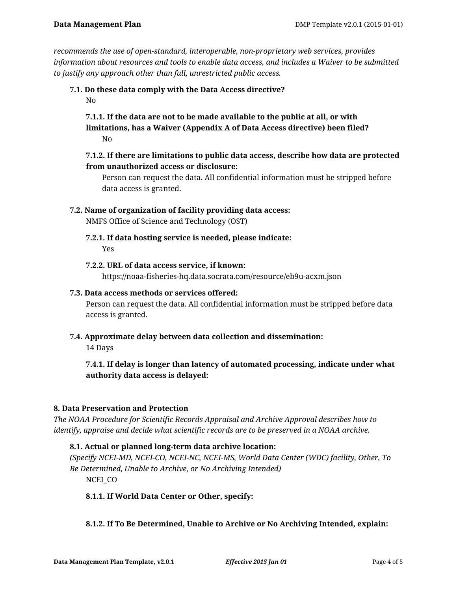*recommends the use of open-standard, interoperable, non-proprietary web services, provides information about resources and tools to enable data access, and includes a Waiver to be submitted to justify any approach other than full, unrestricted public access.*

**7.1. Do these data comply with the Data Access directive?** No

**7.1.1. If the data are not to be made available to the public at all, or with limitations, has a Waiver (Appendix A of Data Access directive) been filed?** No

## **7.1.2. If there are limitations to public data access, describe how data are protected from unauthorized access or disclosure:**

Person can request the data. All confidential information must be stripped before data access is granted.

**7.2. Name of organization of facility providing data access:**

NMFS Office of Science and Technology (OST)

- **7.2.1. If data hosting service is needed, please indicate:** Yes
- **7.2.2. URL of data access service, if known:**

https://noaa-fisheries-hq.data.socrata.com/resource/eb9u-acxm.json

### **7.3. Data access methods or services offered:**

Person can request the data. All confidential information must be stripped before data access is granted.

**7.4. Approximate delay between data collection and dissemination:**

14 Days

**7.4.1. If delay is longer than latency of automated processing, indicate under what authority data access is delayed:**

## **8. Data Preservation and Protection**

*The NOAA Procedure for Scientific Records Appraisal and Archive Approval describes how to identify, appraise and decide what scientific records are to be preserved in a NOAA archive.*

## **8.1. Actual or planned long-term data archive location:**

*(Specify NCEI-MD, NCEI-CO, NCEI-NC, NCEI-MS, World Data Center (WDC) facility, Other, To Be Determined, Unable to Archive, or No Archiving Intended)*

NCEI CO

## **8.1.1. If World Data Center or Other, specify:**

## **8.1.2. If To Be Determined, Unable to Archive or No Archiving Intended, explain:**